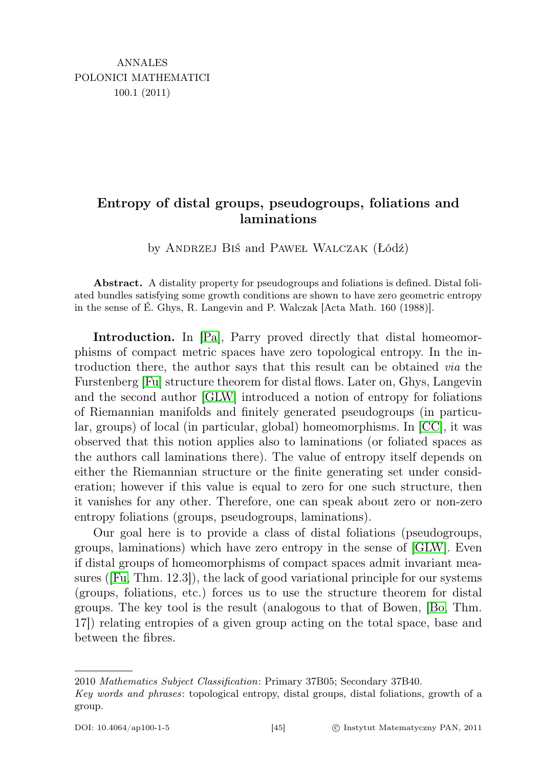## Entropy of distal groups, pseudogroups, foliations and laminations

by Andrzej Biś and Paweł Walczak (Łódź)

Abstract. A distality property for pseudogroups and foliations is defined. Distal foliated bundles satisfying some growth conditions are shown to have zero geometric entropy in the sense of É. Ghys, R. Langevin and P. Walczak [Acta Math. 160 (1988)].

Introduction. In [\[Pa\]](#page-9-0), Parry proved directly that distal homeomorphisms of compact metric spaces have zero topological entropy. In the introduction there, the author says that this result can be obtained via the Furstenberg [\[Fu\]](#page-9-1) structure theorem for distal flows. Later on, Ghys, Langevin and the second author [\[GLW\]](#page-9-2) introduced a notion of entropy for foliations of Riemannian manifolds and finitely generated pseudogroups (in particular, groups) of local (in particular, global) homeomorphisms. In [\[CC\]](#page-9-3), it was observed that this notion applies also to laminations (or foliated spaces as the authors call laminations there). The value of entropy itself depends on either the Riemannian structure or the finite generating set under consideration; however if this value is equal to zero for one such structure, then it vanishes for any other. Therefore, one can speak about zero or non-zero entropy foliations (groups, pseudogroups, laminations).

Our goal here is to provide a class of distal foliations (pseudogroups, groups, laminations) which have zero entropy in the sense of [\[GLW\]](#page-9-2). Even if distal groups of homeomorphisms of compact spaces admit invariant measures ([\[Fu,](#page-9-1) Thm. 12.3]), the lack of good variational principle for our systems (groups, foliations, etc.) forces us to use the structure theorem for distal groups. The key tool is the result (analogous to that of Bowen, [\[Bo,](#page-9-4) Thm. 17]) relating entropies of a given group acting on the total space, base and between the fibres.

<sup>2010</sup> Mathematics Subject Classification: Primary 37B05; Secondary 37B40.

Key words and phrases: topological entropy, distal groups, distal foliations, growth of a group.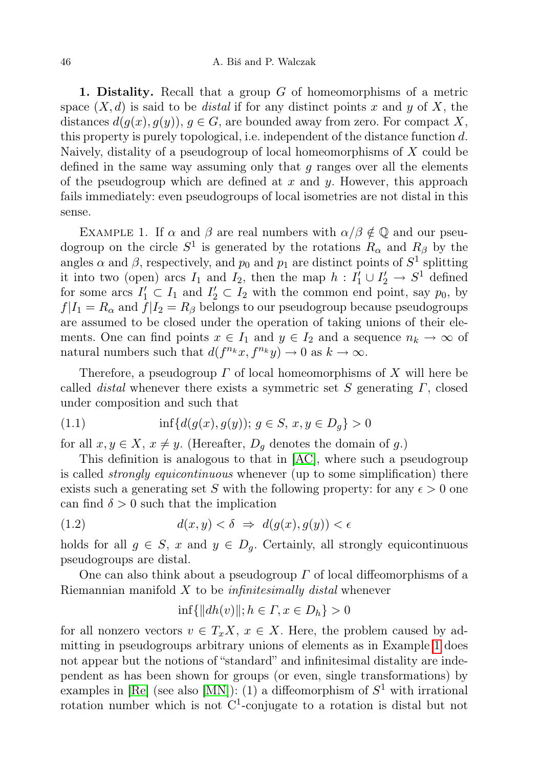1. Distality. Recall that a group  $G$  of homeomorphisms of a metric space  $(X, d)$  is said to be *distal* if for any distinct points x and y of X, the distances  $d(q(x), q(y))$ ,  $q \in G$ , are bounded away from zero. For compact X, this property is purely topological, i.e. independent of the distance function d. Naively, distality of a pseudogroup of local homeomorphisms of X could be defined in the same way assuming only that  $q$  ranges over all the elements of the pseudogroup which are defined at  $x$  and  $y$ . However, this approach fails immediately: even pseudogroups of local isometries are not distal in this sense.

<span id="page-1-0"></span>EXAMPLE 1. If  $\alpha$  and  $\beta$  are real numbers with  $\alpha/\beta \notin \mathbb{Q}$  and our pseudogroup on the circle  $S^1$  is generated by the rotations  $R_\alpha$  and  $R_\beta$  by the angles  $\alpha$  and  $\beta$ , respectively, and  $p_0$  and  $p_1$  are distinct points of  $S^1$  splitting it into two (open) arcs  $I_1$  and  $I_2$ , then the map  $h: I'_1 \cup I'_2 \to S^1$  defined for some arcs  $I'_1 \subset I_1$  and  $I'_2 \subset I_2$  with the common end point, say  $p_0$ , by  $f|I_1 = R_\alpha$  and  $f|I_2 = R_\beta$  belongs to our pseudogroup because pseudogroups are assumed to be closed under the operation of taking unions of their elements. One can find points  $x \in I_1$  and  $y \in I_2$  and a sequence  $n_k \to \infty$  of natural numbers such that  $d(f^{n_k}x, f^{n_k}y) \to 0$  as  $k \to \infty$ .

Therefore, a pseudogroup  $\Gamma$  of local homeomorphisms of X will here be called *distal* whenever there exists a symmetric set S generating  $\Gamma$ , closed under composition and such that

(1.1) 
$$
\inf \{ d(g(x), g(y)) ; g \in S, x, y \in D_g \} > 0
$$

for all  $x, y \in X$ ,  $x \neq y$ . (Hereafter,  $D_g$  denotes the domain of g.)

This definition is analogous to that in [\[AC\]](#page-8-0), where such a pseudogroup is called *strongly equicontinuous* whenever (up to some simplification) there exists such a generating set S with the following property: for any  $\epsilon > 0$  one can find  $\delta > 0$  such that the implication

$$
(1.2) \t d(x, y) < \delta \Rightarrow d(g(x), g(y)) < \epsilon
$$

holds for all  $g \in S$ , x and  $y \in D_q$ . Certainly, all strongly equicontinuous pseudogroups are distal.

One can also think about a pseudogroup  $\Gamma$  of local diffeomorphisms of a Riemannian manifold  $X$  to be *infinitesimally distal* whenever

$$
\inf\{\|dh(v)\|; h \in \Gamma, x \in D_h\} > 0
$$

for all nonzero vectors  $v \in T_xX$ ,  $x \in X$ . Here, the problem caused by admitting in pseudogroups arbitrary unions of elements as in Example [1](#page-1-0) does not appear but the notions of "standard" and infinitesimal distality are independent as has been shown for groups (or even, single transformations) by examples in [\[Re\]](#page-9-5) (see also [\[MN\]](#page-9-6)): (1) a diffeomorphism of  $S^1$  with irrational rotation number which is not  $C^1$ -conjugate to a rotation is distal but not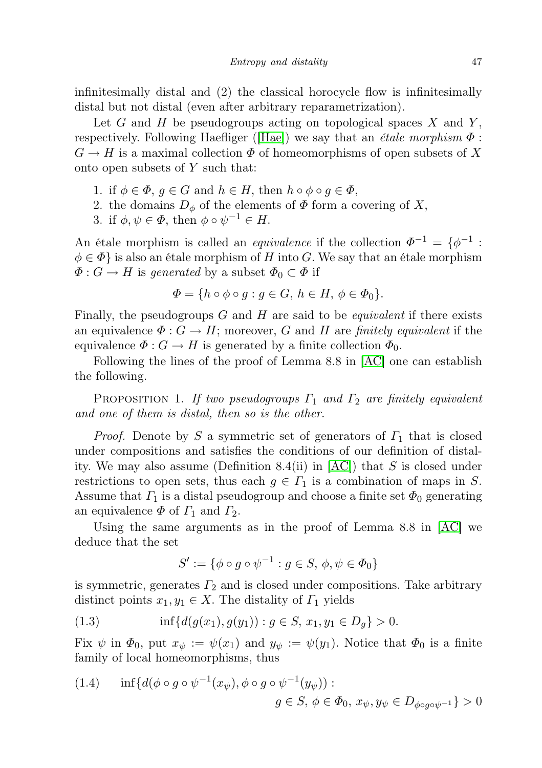infinitesimally distal and (2) the classical horocycle flow is infinitesimally distal but not distal (even after arbitrary reparametrization).

Let  $G$  and  $H$  be pseudogroups acting on topological spaces  $X$  and  $Y$ , respectively. Following Haefliger ([\[Hae\]](#page-9-7)) we say that an *étale morphism*  $\Phi$ :  $G \to H$  is a maximal collection  $\Phi$  of homeomorphisms of open subsets of X onto open subsets of Y such that:

- 1. if  $\phi \in \Phi$ ,  $q \in G$  and  $h \in H$ , then  $h \circ \phi \circ q \in \Phi$ ,
- 2. the domains  $D_{\phi}$  of the elements of  $\Phi$  form a covering of X,
- 3. if  $\phi, \psi \in \Phi$ , then  $\phi \circ \psi^{-1} \in H$ .

An étale morphism is called an *equivalence* if the collection  $\Phi^{-1} = {\phi^{-1}}$ :  $\phi \in \Phi$  is also an étale morphism of H into G. We say that an étale morphism  $\Phi: G \to H$  is *generated* by a subset  $\Phi_0 \subset \Phi$  if

$$
\Phi = \{ h \circ \phi \circ g : g \in G, h \in H, \phi \in \Phi_0 \}.
$$

Finally, the pseudogroups  $G$  and  $H$  are said to be *equivalent* if there exists an equivalence  $\Phi: G \to H$ ; moreover, G and H are finitely equivalent if the equivalence  $\Phi: G \to H$  is generated by a finite collection  $\Phi_0$ .

Following the lines of the proof of Lemma 8.8 in [\[AC\]](#page-8-0) one can establish the following.

PROPOSITION 1. If two pseudogroups  $\Gamma_1$  and  $\Gamma_2$  are finitely equivalent and one of them is distal, then so is the other.

*Proof.* Denote by S a symmetric set of generators of  $\Gamma_1$  that is closed under compositions and satisfies the conditions of our definition of distality. We may also assume (Definition 8.4(ii) in  $[AC]$ ) that S is closed under restrictions to open sets, thus each  $g \in \Gamma_1$  is a combination of maps in S. Assume that  $\Gamma_1$  is a distal pseudogroup and choose a finite set  $\Phi_0$  generating an equivalence  $\Phi$  of  $\Gamma_1$  and  $\Gamma_2$ .

Using the same arguments as in the proof of Lemma 8.8 in [\[AC\]](#page-8-0) we deduce that the set

$$
S' := \{ \phi \circ g \circ \psi^{-1} : g \in S, \, \phi, \psi \in \Phi_0 \}
$$

is symmetric, generates  $\Gamma_2$  and is closed under compositions. Take arbitrary distinct points  $x_1, y_1 \in X$ . The distality of  $\Gamma_1$  yields

$$
(1.3) \t\t\t inf{d(g(x_1), g(y_1)) : g \in S, x_1, y_1 \in D_g} > 0.
$$

Fix  $\psi$  in  $\Phi_0$ , put  $x_{\psi} := \psi(x_1)$  and  $y_{\psi} := \psi(y_1)$ . Notice that  $\Phi_0$  is a finite family of local homeomorphisms, thus

(1.4) 
$$
\inf \{ d(\phi \circ g \circ \psi^{-1}(x_{\psi}), \phi \circ g \circ \psi^{-1}(y_{\psi})) : g \in S, \ \phi \in \Phi_0, \ x_{\psi}, y_{\psi} \in D_{\phi \circ g \circ \psi^{-1}} \} > 0
$$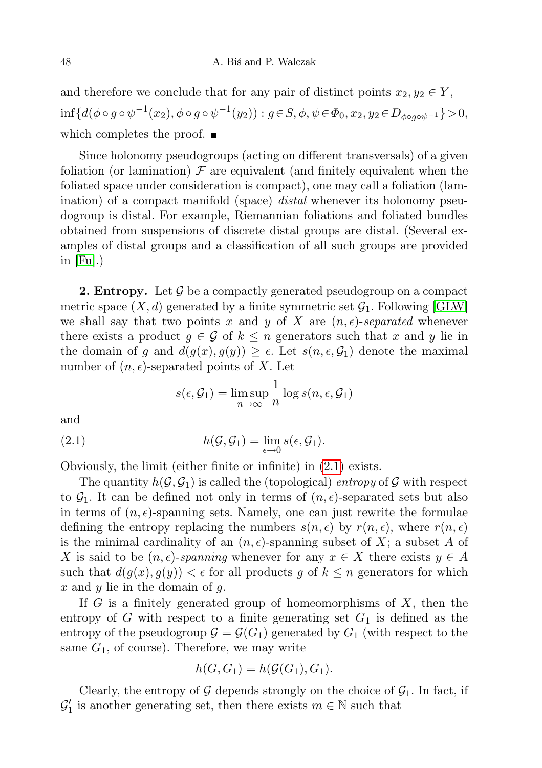and therefore we conclude that for any pair of distinct points  $x_2, y_2 \in Y$ ,  $\inf\{d(\phi\circ g\circ\psi^{-1}(x_2),\phi\circ g\circ\psi^{-1}(y_2)): g\!\in\!S,\phi,\psi\!\in\!\Phi_0,x_2,y_2\!\in\!D_{\phi\circ g\circ\psi^{-1}}\}\!>\!0,$ which completes the proof.

Since holonomy pseudogroups (acting on different transversals) of a given foliation (or lamination)  $\mathcal F$  are equivalent (and finitely equivalent when the foliated space under consideration is compact), one may call a foliation (lamination) of a compact manifold (space) *distal* whenever its holonomy pseudogroup is distal. For example, Riemannian foliations and foliated bundles obtained from suspensions of discrete distal groups are distal. (Several examples of distal groups and a classification of all such groups are provided in  $[Fu]$ .)

**2. Entropy.** Let  $\mathcal G$  be a compactly generated pseudogroup on a compact metric space  $(X, d)$  generated by a finite symmetric set  $G_1$ . Following GLW we shall say that two points x and y of X are  $(n, \epsilon)$ -separated whenever there exists a product  $g \in \mathcal{G}$  of  $k \leq n$  generators such that x and y lie in the domain of g and  $d(g(x), g(y)) \geq \epsilon$ . Let  $s(n, \epsilon, \mathcal{G}_1)$  denote the maximal number of  $(n, \epsilon)$ -separated points of X. Let

<span id="page-3-0"></span>
$$
s(\epsilon, \mathcal{G}_1) = \limsup_{n \to \infty} \frac{1}{n} \log s(n, \epsilon, \mathcal{G}_1)
$$

and

(2.1) 
$$
h(\mathcal{G}, \mathcal{G}_1) = \lim_{\epsilon \to 0} s(\epsilon, \mathcal{G}_1).
$$

Obviously, the limit (either finite or infinite) in [\(2.1\)](#page-3-0) exists.

The quantity  $h(\mathcal{G}, \mathcal{G}_1)$  is called the (topological) entropy of  $\mathcal G$  with respect to  $\mathcal{G}_1$ . It can be defined not only in terms of  $(n, \epsilon)$ -separated sets but also in terms of  $(n, \epsilon)$ -spanning sets. Namely, one can just rewrite the formulae defining the entropy replacing the numbers  $s(n, \epsilon)$  by  $r(n, \epsilon)$ , where  $r(n, \epsilon)$ is the minimal cardinality of an  $(n, \epsilon)$ -spanning subset of X; a subset A of X is said to be  $(n, \epsilon)$ -spanning whenever for any  $x \in X$  there exists  $y \in A$ such that  $d(g(x), g(y)) < \epsilon$  for all products g of  $k \leq n$  generators for which  $x$  and  $y$  lie in the domain of  $g$ .

If  $G$  is a finitely generated group of homeomorphisms of  $X$ , then the entropy of G with respect to a finite generating set  $G_1$  is defined as the entropy of the pseudogroup  $\mathcal{G} = \mathcal{G}(G_1)$  generated by  $G_1$  (with respect to the same  $G_1$ , of course). Therefore, we may write

$$
h(G, G_1) = h(\mathcal{G}(G_1), G_1).
$$

Clearly, the entropy of  $G$  depends strongly on the choice of  $G_1$ . In fact, if  $\mathcal{G}'_1$  is another generating set, then there exists  $m \in \mathbb{N}$  such that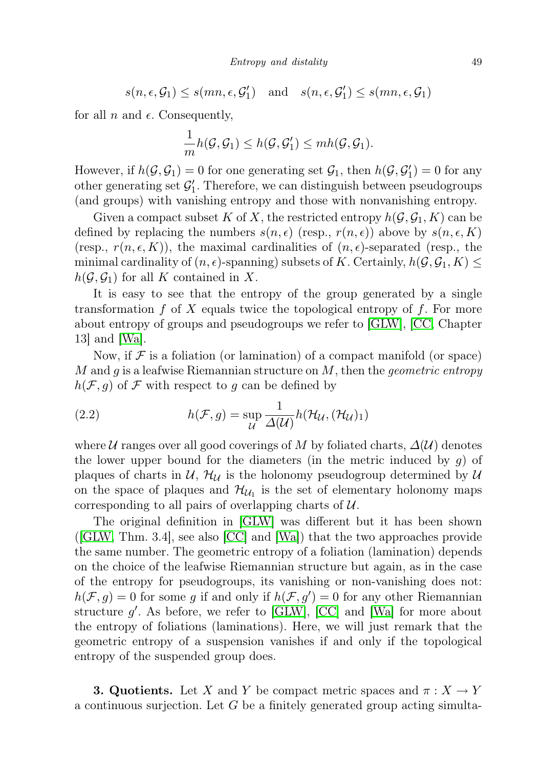$$
s(n, \epsilon, \mathcal{G}_1) \leq s(mn, \epsilon, \mathcal{G}_1') \quad \text{and} \quad s(n, \epsilon, \mathcal{G}_1') \leq s(mn, \epsilon, \mathcal{G}_1)
$$

for all n and  $\epsilon$ . Consequently,

$$
\frac{1}{m}h(\mathcal{G},\mathcal{G}_1)\leq h(\mathcal{G},\mathcal{G}_1')\leq mh(\mathcal{G},\mathcal{G}_1).
$$

However, if  $h(\mathcal{G}, \mathcal{G}_1) = 0$  for one generating set  $\mathcal{G}_1$ , then  $h(\mathcal{G}, \mathcal{G}'_1) = 0$  for any other generating set  $\mathcal{G}'_1$ . Therefore, we can distinguish between pseudogroups (and groups) with vanishing entropy and those with nonvanishing entropy.

Given a compact subset K of X, the restricted entropy  $h(\mathcal{G}, \mathcal{G}_1, K)$  can be defined by replacing the numbers  $s(n, \epsilon)$  (resp.,  $r(n, \epsilon)$ ) above by  $s(n, \epsilon, K)$ (resp.,  $r(n, \epsilon, K)$ ), the maximal cardinalities of  $(n, \epsilon)$ -separated (resp., the minimal cardinality of  $(n, \epsilon)$ -spanning) subsets of K. Certainly,  $h(\mathcal{G}, \mathcal{G}_1, K) \leq$  $h(\mathcal{G}, \mathcal{G}_1)$  for all K contained in X.

It is easy to see that the entropy of the group generated by a single transformation  $f$  of  $X$  equals twice the topological entropy of  $f$ . For more about entropy of groups and pseudogroups we refer to [\[GLW\]](#page-9-2), [\[CC,](#page-9-3) Chapter 13] and [\[Wa\]](#page-9-8).

Now, if  $\mathcal F$  is a foliation (or lamination) of a compact manifold (or space) M and g is a leafwise Riemannian structure on  $M$ , then the *geometric entropy*  $h(\mathcal{F}, g)$  of  $\mathcal F$  with respect to g can be defined by

(2.2) 
$$
h(\mathcal{F}, g) = \sup_{\mathcal{U}} \frac{1}{\Delta(\mathcal{U})} h(\mathcal{H}_{\mathcal{U}}, (\mathcal{H}_{\mathcal{U}})_1)
$$

where U ranges over all good coverings of M by foliated charts,  $\Delta(U)$  denotes the lower upper bound for the diameters (in the metric induced by  $g$ ) of plaques of charts in  $\mathcal{U}, \mathcal{H}_{\mathcal{U}}$  is the holonomy pseudogroup determined by  $\mathcal{U}$ on the space of plaques and  $\mathcal{H}_{\mathcal{U}_1}$  is the set of elementary holonomy maps corresponding to all pairs of overlapping charts of  $U$ .

The original definition in [\[GLW\]](#page-9-2) was different but it has been shown ([\[GLW,](#page-9-2) Thm. 3.4], see also [\[CC\]](#page-9-3) and [\[Wa\]](#page-9-8)) that the two approaches provide the same number. The geometric entropy of a foliation (lamination) depends on the choice of the leafwise Riemannian structure but again, as in the case of the entropy for pseudogroups, its vanishing or non-vanishing does not:  $h(\mathcal{F}, g) = 0$  for some g if and only if  $h(\mathcal{F}, g') = 0$  for any other Riemannian structure  $g'$ . As before, we refer to [\[GLW\]](#page-9-2), [\[CC\]](#page-9-3) and [\[Wa\]](#page-9-8) for more about the entropy of foliations (laminations). Here, we will just remark that the geometric entropy of a suspension vanishes if and only if the topological entropy of the suspended group does.

**3. Quotients.** Let X and Y be compact metric spaces and  $\pi : X \to Y$ a continuous surjection. Let  $G$  be a finitely generated group acting simulta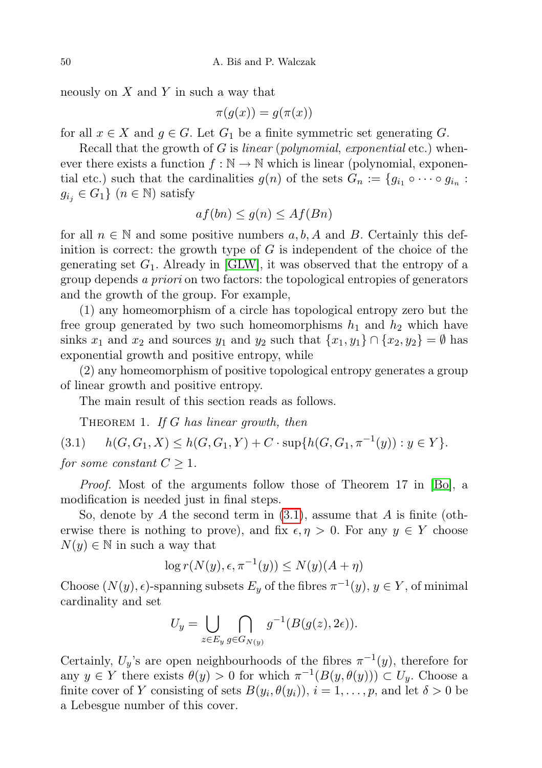neously on  $X$  and  $Y$  in such a way that

$$
\pi(g(x)) = g(\pi(x))
$$

for all  $x \in X$  and  $g \in G$ . Let  $G_1$  be a finite symmetric set generating G.

Recall that the growth of  $G$  is *linear* (*polynomial, exponential* etc.) whenever there exists a function  $f : \mathbb{N} \to \mathbb{N}$  which is linear (polynomial, exponential etc.) such that the cardinalities  $g(n)$  of the sets  $G_n := \{g_{i_1} \circ \cdots \circ g_{i_n} :$  $g_{i_j} \in G_1$   $(n \in \mathbb{N})$  satisfy

$$
af(bn) \le g(n) \le Af(Bn)
$$

for all  $n \in \mathbb{N}$  and some positive numbers  $a, b, A$  and B. Certainly this definition is correct: the growth type of  $G$  is independent of the choice of the generating set  $G_1$ . Already in [\[GLW\]](#page-9-2), it was observed that the entropy of a group depends a priori on two factors: the topological entropies of generators and the growth of the group. For example,

(1) any homeomorphism of a circle has topological entropy zero but the free group generated by two such homeomorphisms  $h_1$  and  $h_2$  which have sinks  $x_1$  and  $x_2$  and sources  $y_1$  and  $y_2$  such that  $\{x_1, y_1\} \cap \{x_2, y_2\} = \emptyset$  has exponential growth and positive entropy, while

(2) any homeomorphism of positive topological entropy generates a group of linear growth and positive entropy.

<span id="page-5-1"></span>The main result of this section reads as follows.

<span id="page-5-0"></span>THEOREM 1. If  $G$  has linear growth, then

(3.1)  $h(G, G_1, X) \le h(G, G_1, Y) + C \cdot \sup\{h(G, G_1, \pi^{-1}(y)) : y \in Y\}.$ for some constant  $C > 1$ .

Proof. Most of the arguments follow those of Theorem 17 in [\[Bo\]](#page-9-4), a modification is needed just in final steps.

So, denote by A the second term in  $(3.1)$ , assume that A is finite (otherwise there is nothing to prove), and fix  $\epsilon, \eta > 0$ . For any  $\eta \in Y$  choose  $N(y) \in \mathbb{N}$  in such a way that

$$
\log r(N(y), \epsilon, \pi^{-1}(y)) \le N(y)(A + \eta)
$$

Choose  $(N(y), \epsilon)$ -spanning subsets  $E_y$  of the fibres  $\pi^{-1}(y)$ ,  $y \in Y$ , of minimal cardinality and set

$$
U_y = \bigcup_{z \in E_y} \bigcap_{g \in G_{N(y)}} g^{-1}(B(g(z), 2\epsilon)).
$$

Certainly,  $U_y$ 's are open neighbourhoods of the fibres  $\pi^{-1}(y)$ , therefore for any  $y \in Y$  there exists  $\theta(y) > 0$  for which  $\pi^{-1}(B(y, \theta(y))) \subset U_y$ . Choose a finite cover of Y consisting of sets  $B(y_i, \theta(y_i))$ ,  $i = 1, \ldots, p$ , and let  $\delta > 0$  be a Lebesgue number of this cover.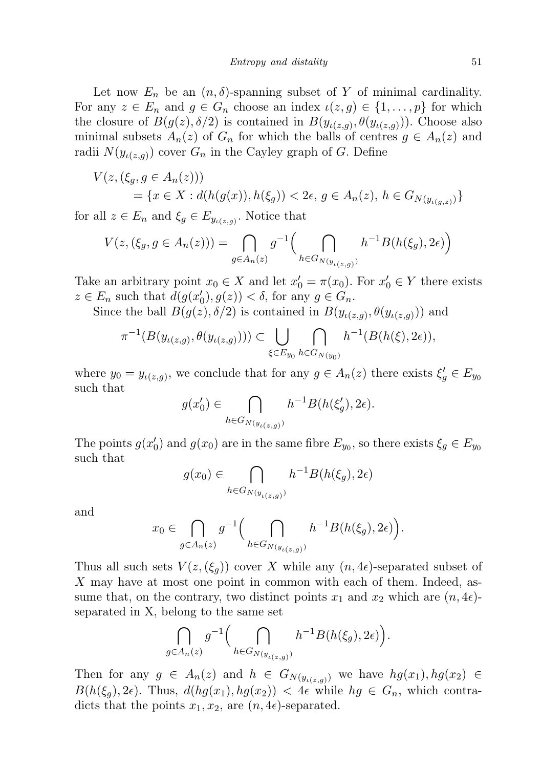Let now  $E_n$  be an  $(n, \delta)$ -spanning subset of Y of minimal cardinality. For any  $z \in E_n$  and  $g \in G_n$  choose an index  $\iota(z, g) \in \{1, \ldots, p\}$  for which the closure of  $B(g(z), \delta/2)$  is contained in  $B(y_{\iota(z,g)}, \theta(y_{\iota(z,g)}))$ . Choose also minimal subsets  $A_n(z)$  of  $G_n$  for which the balls of centres  $g \in A_n(z)$  and radii  $N(y_{\iota(z,g)})$  cover  $G_n$  in the Cayley graph of G. Define

$$
V(z, (\xi_g, g \in A_n(z)))
$$
  
= {x \in X : d(h(g(x)), h(\xi\_g)) < 2\epsilon, g \in A\_n(z), h \in G\_{N(y\_{\iota(g,z)})} }

for all  $z \in E_n$  and  $\xi_g \in E_{y_{\iota(z,g)}}$ . Notice that

$$
V(z, (\xi_g, g \in A_n(z))) = \bigcap_{g \in A_n(z)} g^{-1} \Big( \bigcap_{h \in G_{N(y_{\iota(z,g)})}} h^{-1}B(h(\xi_g), 2\epsilon) \Big)
$$

Take an arbitrary point  $x_0 \in X$  and let  $x'_0 = \pi(x_0)$ . For  $x'_0 \in Y$  there exists  $z \in E_n$  such that  $d(g(x'_0), g(z)) < \delta$ , for any  $g \in G_n$ .

Since the ball  $B(g(z), \delta/2)$  is contained in  $B(y_{\iota(z,g)}, \theta(y_{\iota(z,g)}))$  and

$$
\pi^{-1}(B(y_{\iota(z,g)}, \theta(y_{\iota(z,g)}))) \subset \bigcup_{\xi \in E_{y_0}} \bigcap_{h \in G_{N(y_0)}} h^{-1}(B(h(\xi), 2\epsilon)),
$$

where  $y_0 = y_{\iota(z,g)}$ , we conclude that for any  $g \in A_n(z)$  there exists  $\xi_g' \in E_{y_0}$ such that

$$
g(x'_0) \in \bigcap_{h \in G_{N(y_{\iota(z,g)})}} h^{-1}B(h(\xi'_g), 2\epsilon).
$$

The points  $g(x_0')$  and  $g(x_0)$  are in the same fibre  $E_{y_0}$ , so there exists  $\xi_g \in E_{y_0}$ such that

$$
g(x_0) \in \bigcap_{h \in G_{N(y_{\iota(z,g)})}} h^{-1}B(h(\xi_g), 2\epsilon)
$$

and

$$
x_0 \in \bigcap_{g \in A_n(z)} g^{-1} \Big( \bigcap_{h \in G_{N(y_{\iota(z,g)})}} h^{-1}B(h(\xi_g), 2\epsilon) \Big).
$$

Thus all such sets  $V(z,(\xi_q))$  cover X while any  $(n,4\epsilon)$ -separated subset of X may have at most one point in common with each of them. Indeed, assume that, on the contrary, two distinct points  $x_1$  and  $x_2$  which are  $(n, 4\epsilon)$ separated in X, belong to the same set

$$
\bigcap_{g\in A_n(z)} g^{-1}\Big(\bigcap_{h\in G_{N(y_{\iota(z,g)})}} h^{-1}B(h(\xi_g), 2\epsilon)\Big).
$$

Then for any  $g \in A_n(z)$  and  $h \in G_{N(y_{\iota(z,g)})}$  we have  $hg(x_1), hg(x_2) \in$  $B(h(\xi_q), 2\epsilon)$ . Thus,  $d(hg(x_1), hg(x_2)) < 4\epsilon$  while  $hg \in G_n$ , which contradicts that the points  $x_1, x_2$ , are  $(n, 4\epsilon)$ -separated.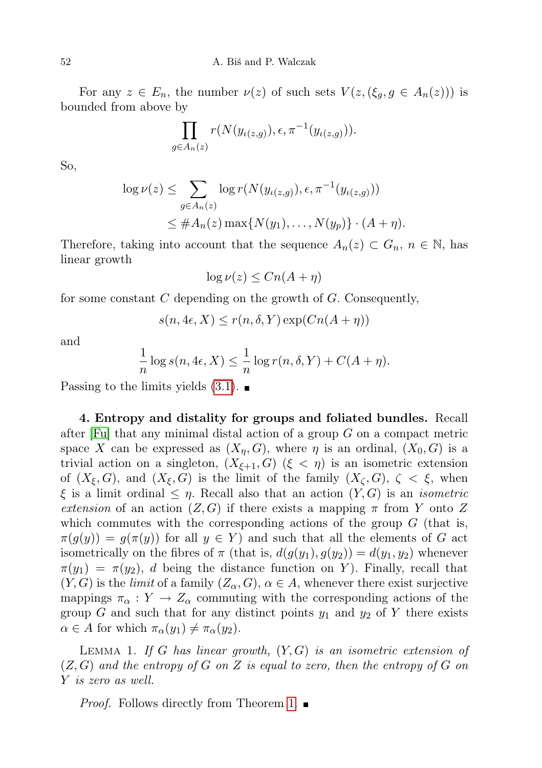For any  $z \in E_n$ , the number  $\nu(z)$  of such sets  $V(z, (\xi_q, g \in A_n(z)))$  is bounded from above by

$$
\prod_{g \in A_n(z)} r(N(y_{\iota(z,g)}), \epsilon, \pi^{-1}(y_{\iota(z,g)})).
$$

So,

$$
\log \nu(z) \leq \sum_{g \in A_n(z)} \log r(N(y_{\iota(z,g)}), \epsilon, \pi^{-1}(y_{\iota(z,g)}))
$$
  
 
$$
\leq \#A_n(z) \max \{N(y_1), \dots, N(y_p)\} \cdot (A + \eta).
$$

Therefore, taking into account that the sequence  $A_n(z) \subset G_n$ ,  $n \in \mathbb{N}$ , has linear growth

$$
\log \nu(z) \le Cn(A + \eta)
$$

for some constant  $C$  depending on the growth of  $G$ . Consequently,

$$
s(n, 4\epsilon, X) \le r(n, \delta, Y) \exp(Cn(A + \eta))
$$

and

$$
\frac{1}{n}\log s(n, 4\epsilon, X) \le \frac{1}{n}\log r(n, \delta, Y) + C(A + \eta).
$$

Passing to the limits yields  $(3.1)$ .

4. Entropy and distality for groups and foliated bundles. Recall after  $[F\psi]$  that any minimal distal action of a group G on a compact metric space X can be expressed as  $(X_n, G)$ , where  $\eta$  is an ordinal,  $(X_0, G)$  is a trivial action on a singleton,  $(X_{\xi+1}, G)$   $(\xi < \eta)$  is an isometric extension of  $(X_{\xi}, G)$ , and  $(X_{\xi}, G)$  is the limit of the family  $(X_{\zeta}, G)$ ,  $\zeta < \xi$ , when  $\xi$  is a limit ordinal  $\leq \eta$ . Recall also that an action  $(Y, G)$  is an *isometric* extension of an action  $(Z, G)$  if there exists a mapping  $\pi$  from Y onto Z which commutes with the corresponding actions of the group  $G$  (that is,  $\pi(g(y)) = g(\pi(y))$  for all  $y \in Y$  and such that all the elements of G act isometrically on the fibres of  $\pi$  (that is,  $d(g(y_1), g(y_2)) = d(y_1, y_2)$  whenever  $\pi(y_1) = \pi(y_2)$ , d being the distance function on Y). Finally, recall that  $(Y, G)$  is the *limit* of a family  $(Z_{\alpha}, G)$ ,  $\alpha \in A$ , whenever there exist surjective mappings  $\pi_{\alpha}: Y \to Z_{\alpha}$  commuting with the corresponding actions of the group G and such that for any distinct points  $y_1$  and  $y_2$  of Y there exists  $\alpha \in A$  for which  $\pi_{\alpha}(y_1) \neq \pi_{\alpha}(y_2)$ .

<span id="page-7-0"></span>LEMMA 1. If G has linear growth,  $(Y, G)$  is an isometric extension of  $(Z, G)$  and the entropy of G on Z is equal to zero, then the entropy of G on Y is zero as well.

*Proof.* Follows directly from Theorem [1.](#page-5-1)  $\blacksquare$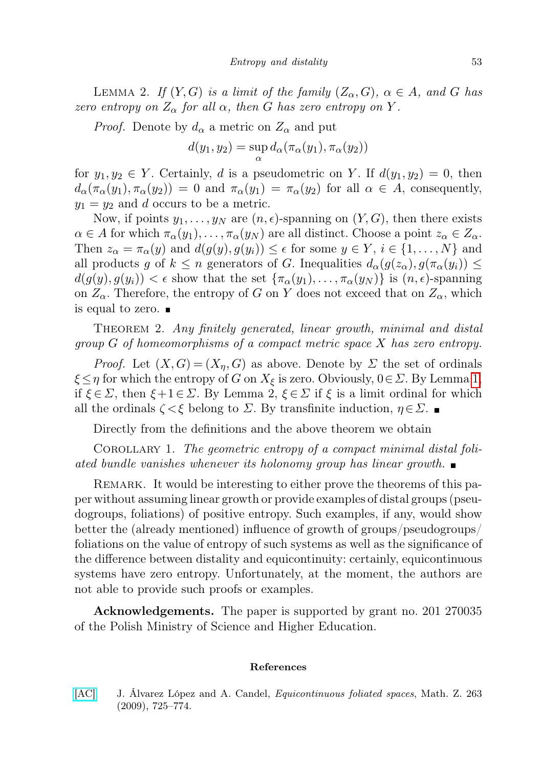LEMMA 2. If  $(Y, G)$  is a limit of the family  $(Z_{\alpha}, G)$ ,  $\alpha \in A$ , and G has zero entropy on  $Z_{\alpha}$  for all  $\alpha$ , then G has zero entropy on Y.

*Proof.* Denote by  $d_{\alpha}$  a metric on  $Z_{\alpha}$  and put

$$
d(y_1, y_2) = \sup_{\alpha} d_{\alpha}(\pi_{\alpha}(y_1), \pi_{\alpha}(y_2))
$$

for  $y_1, y_2 \in Y$ . Certainly, d is a pseudometric on Y. If  $d(y_1, y_2) = 0$ , then  $d_{\alpha}(\pi_{\alpha}(y_1), \pi_{\alpha}(y_2)) = 0$  and  $\pi_{\alpha}(y_1) = \pi_{\alpha}(y_2)$  for all  $\alpha \in A$ , consequently,  $y_1 = y_2$  and d occurs to be a metric.

Now, if points  $y_1, \ldots, y_N$  are  $(n, \epsilon)$ -spanning on  $(Y, G)$ , then there exists  $\alpha \in A$  for which  $\pi_{\alpha}(y_1), \ldots, \pi_{\alpha}(y_N)$  are all distinct. Choose a point  $z_{\alpha} \in Z_{\alpha}$ . Then  $z_{\alpha} = \pi_{\alpha}(y)$  and  $d(g(y), g(y_i)) \leq \epsilon$  for some  $y \in Y$ ,  $i \in \{1, ..., N\}$  and all products g of  $k \leq n$  generators of G. Inequalities  $d_{\alpha}(g(z_{\alpha}), g(\pi_{\alpha}(y_i)) \leq$  $d(g(y), g(y_i)) < \epsilon$  show that the set  $\{\pi_\alpha(y_1), \ldots, \pi_\alpha(y_N)\}\$ is  $(n, \epsilon)$ -spanning on  $Z_{\alpha}$ . Therefore, the entropy of G on Y does not exceed that on  $Z_{\alpha}$ , which is equal to zero.

THEOREM 2. Any finitely generated, linear growth, minimal and distal  $group G of homeomorphisms of a compact metric space X has zero entropy.$ 

*Proof.* Let  $(X, G) = (X_n, G)$  as above. Denote by  $\Sigma$  the set of ordinals  $\xi \leq \eta$  for which the entropy of G on  $X_{\xi}$  is zero. Obviously,  $0 \in \Sigma$ . By Lemma [1,](#page-7-0) if  $\xi \in \Sigma$ , then  $\xi + 1 \in \Sigma$ . By Lemma 2,  $\xi \in \Sigma$  if  $\xi$  is a limit ordinal for which all the ordinals  $\zeta \leq \xi$  belong to  $\Sigma$ . By transfinite induction,  $\eta \in \Sigma$ .

Directly from the definitions and the above theorem we obtain

Corollary 1. The geometric entropy of a compact minimal distal foliated bundle vanishes whenever its holonomy group has linear growth.  $\blacksquare$ 

REMARK. It would be interesting to either prove the theorems of this paper without assuming linear growth or provide examples of distal groups (pseudogroups, foliations) of positive entropy. Such examples, if any, would show better the (already mentioned) influence of growth of groups/pseudogroups/ foliations on the value of entropy of such systems as well as the significance of the difference between distality and equicontinuity: certainly, equicontinuous systems have zero entropy. Unfortunately, at the moment, the authors are not able to provide such proofs or examples.

Acknowledgements. The paper is supported by grant no. 201 270035 of the Polish Ministry of Science and Higher Education.

## References

<span id="page-8-0"></span>[\[AC\]](http://dx.doi.org/10.1007/s00209-008-0432-4) J. Álvarez López and A. Candel, Equicontinuous foliated spaces, Math. Z. 263 (2009), 725–774.